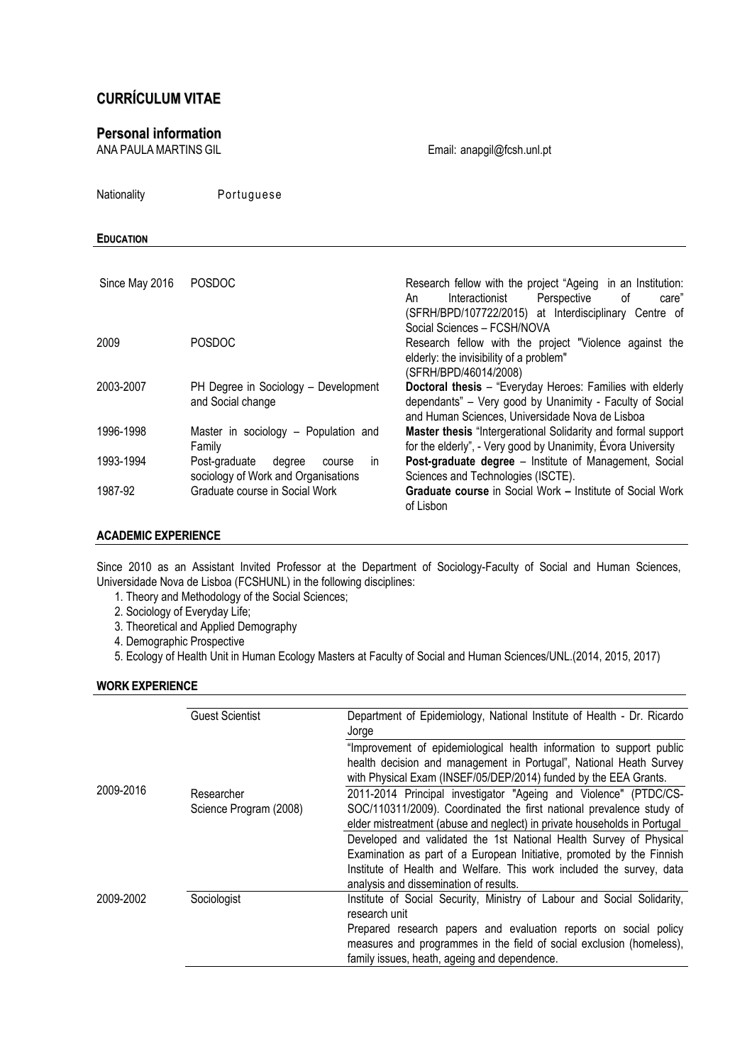# CURRÍCULUM VITAE

# **Personal information**<br>ANA PAULA MARTINS GIL

Email: anapgil@fcsh.unl.pt

Nationality Portuguese EDUCATION Since May 2016 POSDOC **Research fellow with the project "Ageing in an Institution:** An Interactionist Perspective of care" (SFRH/BPD/107722/2015) at Interdisciplinary Centre of Social Sciences – FCSH/NOVA 2009 POSDOC Research fellow with the project "Violence against the elderly: the invisibility of a problem" (SFRH/BPD/46014/2008) 2003-2007 PH Degree in Sociology – Development and Social change Doctoral thesis – "Everyday Heroes: Families with elderly dependants" – Very good by Unanimity - Faculty of Social and Human Sciences, Universidade Nova de Lisboa 1996-1998 Master in sociology – Population and Family Master thesis "Intergerational Solidarity and formal support for the elderly", - Very good by Unanimity, Évora University 1993-1994 Post-graduate degree course in sociology of Work and Organisations<br>Graduate course in Social Work Post-graduate degree - Institute of Management, Social Sciences and Technologies (ISCTE). 1987-92 Graduate course in Social Work Graduate course in Social Work – Institute of Social Work of Lisbon

# ACADEMIC EXPERIENCE

Since 2010 as an Assistant Invited Professor at the Department of Sociology-Faculty of Social and Human Sciences, Universidade Nova de Lisboa (FCSHUNL) in the following disciplines:

- 1. Theory and Methodology of the Social Sciences;
- 2. Sociology of Everyday Life;
- 3. Theoretical and Applied Demography
- 4. Demographic Prospective
- 5. Ecology of Health Unit in Human Ecology Masters at Faculty of Social and Human Sciences/UNL.(2014, 2015, 2017)

# WORK EXPERIENCE

|           | <b>Guest Scientist</b> | Department of Epidemiology, National Institute of Health - Dr. Ricardo<br>Jorge |
|-----------|------------------------|---------------------------------------------------------------------------------|
|           |                        | "Improvement of epidemiological health information to support public            |
|           |                        | health decision and management in Portugal", National Heath Survey              |
| 2009-2016 |                        | with Physical Exam (INSEF/05/DEP/2014) funded by the EEA Grants.                |
|           | Researcher             | 2011-2014 Principal investigator "Ageing and Violence" (PTDC/CS-                |
|           | Science Program (2008) | SOC/110311/2009). Coordinated the first national prevalence study of            |
|           |                        | elder mistreatment (abuse and neglect) in private households in Portugal        |
|           |                        | Developed and validated the 1st National Health Survey of Physical              |
|           |                        | Examination as part of a European Initiative, promoted by the Finnish           |
|           |                        | Institute of Health and Welfare. This work included the survey, data            |
|           |                        | analysis and dissemination of results.                                          |
| 2009-2002 | Sociologist            | Institute of Social Security, Ministry of Labour and Social Solidarity,         |
|           |                        | research unit                                                                   |
|           |                        | Prepared research papers and evaluation reports on social policy                |
|           |                        | measures and programmes in the field of social exclusion (homeless),            |
|           |                        | family issues, heath, ageing and dependence.                                    |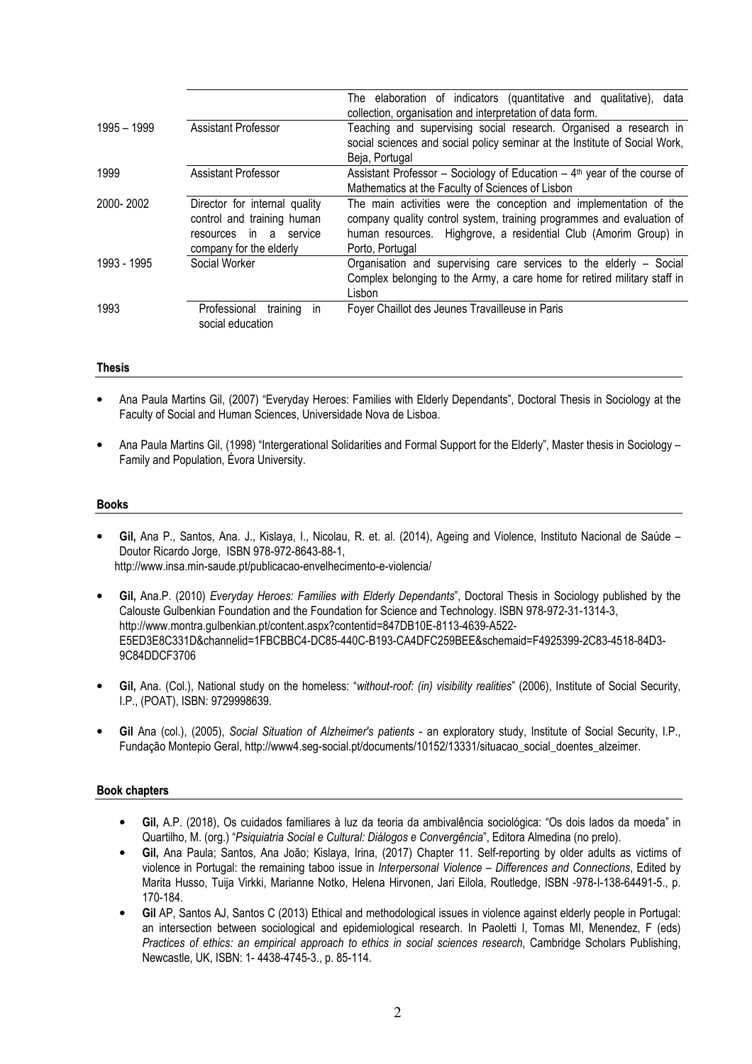|             |                                                                                                                  | The elaboration of indicators (quantitative and qualitative), data<br>collection, organisation and interpretation of data form.                                                                                                   |
|-------------|------------------------------------------------------------------------------------------------------------------|-----------------------------------------------------------------------------------------------------------------------------------------------------------------------------------------------------------------------------------|
| 1995 - 1999 | Assistant Professor                                                                                              | Teaching and supervising social research. Organised a research in<br>social sciences and social policy seminar at the Institute of Social Work,<br>Beja, Portugal                                                                 |
| 1999        | Assistant Professor                                                                                              | Assistant Professor – Sociology of Education – $4th$ year of the course of<br>Mathematics at the Faculty of Sciences of Lisbon                                                                                                    |
| 2000-2002   | Director for internal quality<br>control and training human<br>resources in a service<br>company for the elderly | The main activities were the conception and implementation of the<br>company quality control system, training programmes and evaluation of<br>human resources. Highgrove, a residential Club (Amorim Group) in<br>Porto, Portugal |
| 1993 - 1995 | Social Worker                                                                                                    | Organisation and supervising care services to the elderly - Social<br>Complex belonging to the Army, a care home for retired military staff in<br>Lisbon                                                                          |
| 1993        | Professional<br>training<br>in<br>social education                                                               | Foyer Chaillot des Jeunes Travailleuse in Paris                                                                                                                                                                                   |

#### Thesis

- Ana Paula Martins Gil, (2007) "Everyday Heroes: Families with Elderly Dependants", Doctoral Thesis in Sociology at the Faculty of Social and Human Sciences, Universidade Nova de Lisboa.
- Ana Paula Martins Gil, (1998) "Intergerational Solidarities and Formal Support for the Elderly", Master thesis in Sociology Family and Population, Évora University.

#### Books

- Gil, Ana P., Santos, Ana. J., Kislaya, I., Nicolau, R. et. al. (2014), Ageing and Violence, Instituto Nacional de Saúde Doutor Ricardo Jorge, ISBN 978-972-8643-88-1, http://www.insa.min-saude.pt/publicacao-envelhecimento-e-violencia/
- Gil, Ana.P. (2010) Everyday Heroes: Families with Elderly Dependants", Doctoral Thesis in Sociology published by the Calouste Gulbenkian Foundation and the Foundation for Science and Technology. ISBN 978-972-31-1314-3, http://www.montra.gulbenkian.pt/content.aspx?contentid=847DB10E-8113-4639-A522- E5ED3E8C331D&channelid=1FBCBBC4-DC85-440C-B193-CA4DFC259BEE&schemaid=F4925399-2C83-4518-84D3- 9C84DDCF3706
- Gil, Ana. (Col.), National study on the homeless: "without-roof: (in) visibility realities" (2006), Institute of Social Security, I.P., (POAT), ISBN: 9729998639.
- Gil Ana (col.), (2005), Social Situation of Alzheimer's patients an exploratory study, Institute of Social Security, I.P., Fundação Montepio Geral, http://www4.seq-social.pt/documents/10152/13331/situacao social doentes alzeimer.

# Book chapters

- Gil, A.P. (2018), Os cuidados familiares à luz da teoria da ambivalência sociológica: "Os dois lados da moeda" in Quartilho, M. (org.) "Psiquiatria Social e Cultural: Diálogos e Convergência", Editora Almedina (no prelo).
- Gil, Ana Paula; Santos, Ana João; Kislaya, Irina, (2017) Chapter 11. Self-reporting by older adults as victims of violence in Portugal: the remaining taboo issue in Interpersonal Violence – Differences and Connections, Edited by Marita Husso, Tuija Virkki, Marianne Notko, Helena Hirvonen, Jari Eilola, Routledge, ISBN -978-I-138-64491-5., p. 170-184.
- Gil AP, Santos AJ, Santos C (2013) Ethical and methodological issues in violence against elderly people in Portugal: an intersection between sociological and epidemiological research. In Paoletti I, Tomas MI, Menendez, F (eds) Practices of ethics: an empirical approach to ethics in social sciences research, Cambridge Scholars Publishing, Newcastle, UK, ISBN: 1- 4438-4745-3., p. 85-114.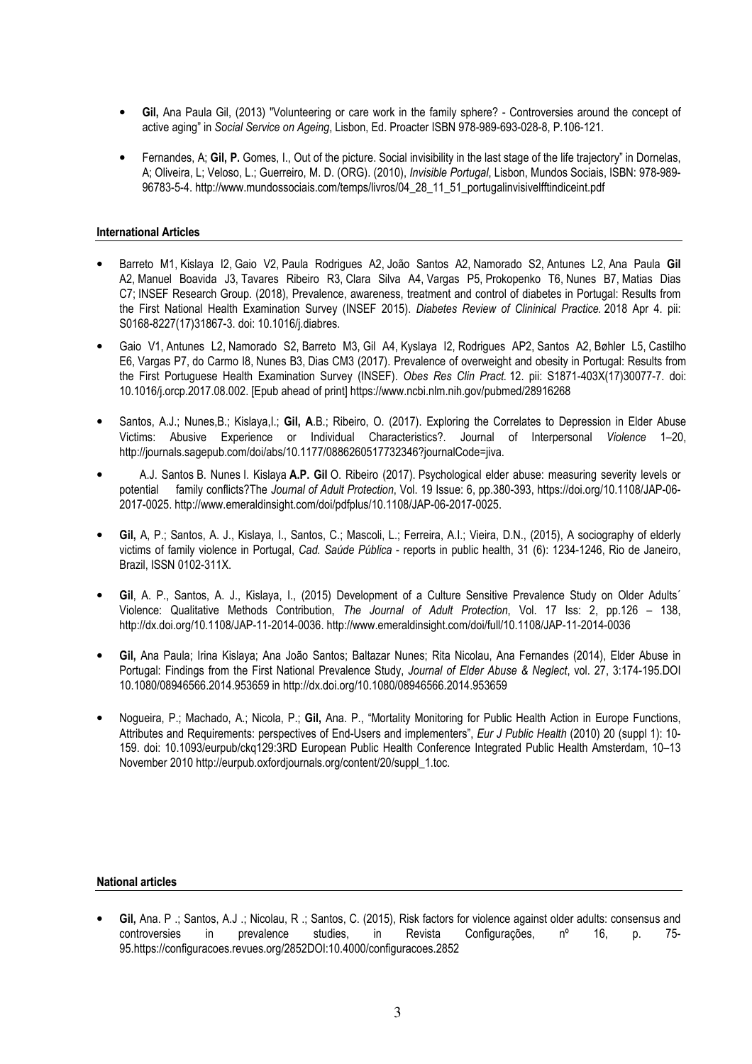- Gil, Ana Paula Gil, (2013) "Volunteering or care work in the family sphere? Controversies around the concept of active aging" in Social Service on Ageing, Lisbon, Ed. Proacter ISBN 978-989-693-028-8, P.106-121.
- Fernandes, A; Gil, P. Gomes, I., Out of the picture. Social invisibility in the last stage of the life trajectory" in Dornelas, A; Oliveira, L; Veloso, L.; Guerreiro, M. D. (ORG). (2010), Invisible Portugal, Lisbon, Mundos Sociais, ISBN: 978-989- 96783-5-4. http://www.mundossociais.com/temps/livros/04\_28\_11\_51\_portugalinvisivelfftindiceint.pdf

# International Articles

- Barreto M1, Kislaya I2, Gaio V2, Paula Rodrigues A2, João Santos A2, Namorado S2, Antunes L2, Ana Paula Gil A2, Manuel Boavida J3, Tavares Ribeiro R3, Clara Silva A4, Vargas P5, Prokopenko T6, Nunes B7, Matias Dias C7; INSEF Research Group. (2018), Prevalence, awareness, treatment and control of diabetes in Portugal: Results from the First National Health Examination Survey (INSEF 2015). Diabetes Review of Clininical Practice. 2018 Apr 4. pii: S0168-8227(17)31867-3. doi: 10.1016/j.diabres.
- Gaio V1, Antunes L2, Namorado S2, Barreto M3, Gil A4, Kyslaya I2, Rodrigues AP2, Santos A2, Bøhler L5, Castilho E6, Vargas P7, do Carmo I8, Nunes B3, Dias CM3 (2017). Prevalence of overweight and obesity in Portugal: Results from the First Portuguese Health Examination Survey (INSEF). Obes Res Clin Pract. 12. pii: S1871-403X(17)30077-7. doi: 10.1016/j.orcp.2017.08.002. [Epub ahead of print] https://www.ncbi.nlm.nih.gov/pubmed/28916268
- Santos, A.J.; Nunes, B.; Kislaya, I.; Gil, A.B.; Ribeiro, O. (2017). Exploring the Correlates to Depression in Elder Abuse Victims: Abusive Experience or Individual Characteristics?. Journal of Interpersonal Violence 1–20, http://journals.sagepub.com/doi/abs/10.1177/0886260517732346?journalCode=jiva.
- A.J. Santos B. Nunes I. Kislaya A.P. Gil O. Ribeiro (2017). Psychological elder abuse: measuring severity levels or potential family conflicts?The Journal of Adult Protection, Vol. 19 Issue: 6, pp.380-393, https://doi.org/10.1108/JAP-06- 2017-0025. http://www.emeraldinsight.com/doi/pdfplus/10.1108/JAP-06-2017-0025.
- Gil, A, P.; Santos, A. J., Kislaya, I., Santos, C.; Mascoli, L.; Ferreira, A.I.; Vieira, D.N., (2015), A sociography of elderly victims of family violence in Portugal, Cad. Saúde Pública - reports in public health, 31 (6): 1234-1246, Rio de Janeiro, Brazil, ISSN 0102-311X.
- Gil, A. P., Santos, A. J., Kislaya, I., (2015) Development of a Culture Sensitive Prevalence Study on Older Adults' Violence: Qualitative Methods Contribution, The Journal of Adult Protection, Vol. 17 Iss: 2, pp.126 – 138, http://dx.doi.org/10.1108/JAP-11-2014-0036. http://www.emeraldinsight.com/doi/full/10.1108/JAP-11-2014-0036
- Gil, Ana Paula; Irina Kislaya; Ana João Santos; Baltazar Nunes; Rita Nicolau, Ana Fernandes (2014), Elder Abuse in Portugal: Findings from the First National Prevalence Study, Journal of Elder Abuse & Neglect, vol. 27, 3:174-195.DOI 10.1080/08946566.2014.953659 in http://dx.doi.org/10.1080/08946566.2014.953659
- Nogueira, P.; Machado, A.; Nicola, P.; Gil, Ana. P., "Mortality Monitoring for Public Health Action in Europe Functions, Attributes and Requirements: perspectives of End-Users and implementers", Eur J Public Health (2010) 20 (suppl 1): 10- 159. doi: 10.1093/eurpub/ckq129:3RD European Public Health Conference Integrated Public Health Amsterdam, 10–13 November 2010 http://eurpub.oxfordjournals.org/content/20/suppl\_1.toc.

# National articles

• Gil, Ana. P .; Santos, A.J .; Nicolau, R .; Santos, C. (2015), Risk factors for violence against older adults: consensus and controversies in prevalence studies, in Revista Configurações, nº 16, p. 75- 95.https://configuracoes.revues.org/2852DOI:10.4000/configuracoes.2852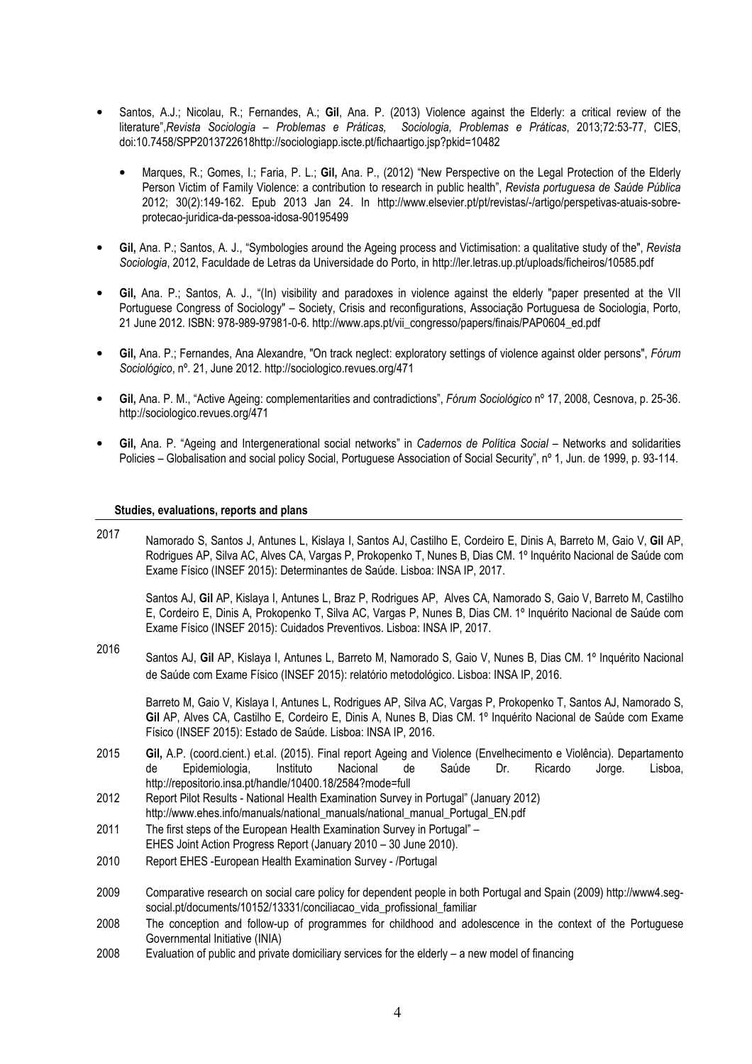- Santos, A.J.; Nicolau, R.; Fernandes, A.; Gil, Ana. P. (2013) Violence against the Elderly: a critical review of the literature",Revista Sociologia – Problemas e Práticas, Sociologia, Problemas e Práticas, 2013;72:53-77, CIES, doi:10.7458/SPP2013722618http://sociologiapp.iscte.pt/fichaartigo.jsp?pkid=10482
	- Marques, R.; Gomes, I.; Faria, P. L.; Gil, Ana. P., (2012) "New Perspective on the Legal Protection of the Elderly Person Victim of Family Violence: a contribution to research in public health", Revista portuguesa de Saúde Pública 2012; 30(2):149-162. Epub 2013 Jan 24. In http://www.elsevier.pt/pt/revistas/-/artigo/perspetivas-atuais-sobreprotecao-juridica-da-pessoa-idosa-90195499
- Gil, Ana. P.; Santos, A. J., "Symbologies around the Ageing process and Victimisation: a qualitative study of the", Revista Sociologia, 2012, Faculdade de Letras da Universidade do Porto, in http://ler.letras.up.pt/uploads/ficheiros/10585.pdf
- Gil, Ana. P.; Santos, A. J., "(In) visibility and paradoxes in violence against the elderly "paper presented at the VII Portuguese Congress of Sociology" – Society, Crisis and reconfigurations, Associação Portuguesa de Sociologia, Porto, 21 June 2012. ISBN: 978-989-97981-0-6. http://www.aps.pt/vii\_congresso/papers/finais/PAP0604\_ed.pdf
- Gil, Ana. P.; Fernandes, Ana Alexandre, "On track neglect: exploratory settings of violence against older persons", Fórum Sociológico, nº. 21, June 2012. http://sociologico.revues.org/471
- Gil, Ana. P. M., "Active Ageing: complementarities and contradictions", Fórum Sociológico nº 17, 2008, Cesnova, p. 25-36. http://sociologico.revues.org/471
- Gil, Ana. P. "Ageing and Intergenerational social networks" in Cadernos de Política Social Networks and solidarities Policies – Globalisation and social policy Social, Portuguese Association of Social Security", nº 1, Jun. de 1999, p. 93-114.

#### Studies, evaluations, reports and plans

2017 Namorado S, Santos J, Antunes L, Kislaya I, Santos AJ, Castilho E, Cordeiro E, Dinis A, Barreto M, Gaio V, Gil AP, Rodrigues AP, Silva AC, Alves CA, Vargas P, Prokopenko T, Nunes B, Dias CM. 1º Inquérito Nacional de Saúde com Exame Físico (INSEF 2015): Determinantes de Saúde. Lisboa: INSA IP, 2017.

Santos AJ, Gil AP, Kislaya I, Antunes L, Braz P, Rodrigues AP, Alves CA, Namorado S, Gaio V, Barreto M, Castilho E, Cordeiro E, Dinis A, Prokopenko T, Silva AC, Vargas P, Nunes B, Dias CM. 1º Inquérito Nacional de Saúde com Exame Físico (INSEF 2015): Cuidados Preventivos. Lisboa: INSA IP, 2017.

2016 Santos AJ, Gil AP, Kislaya I, Antunes L, Barreto M, Namorado S, Gaio V, Nunes B, Dias CM. 1º Inquérito Nacional de Saúde com Exame Físico (INSEF 2015): relatório metodológico. Lisboa: INSA IP, 2016.

Barreto M, Gaio V, Kislaya I, Antunes L, Rodrigues AP, Silva AC, Vargas P, Prokopenko T, Santos AJ, Namorado S, Gil AP, Alves CA, Castilho E, Cordeiro E, Dinis A, Nunes B, Dias CM. 1º Inquérito Nacional de Saúde com Exame Físico (INSEF 2015): Estado de Saúde. Lisboa: INSA IP, 2016.

- 2015 Gil, A.P. (coord.cient.) et.al. (2015). Final report Ageing and Violence (Envelhecimento e Violência). Departamento de Epidemiologia, Instituto Nacional de Saúde Dr. Ricardo Jorge. Lisboa, http://repositorio.insa.pt/handle/10400.18/2584?mode=full
- 2012 Report Pilot Results National Health Examination Survey in Portugal" (January 2012) http://www.ehes.info/manuals/national\_manuals/national\_manual\_Portugal\_EN.pdf
- 2011 The first steps of the European Health Examination Survey in Portugal" EHES Joint Action Progress Report (January 2010 – 30 June 2010).
- 2010 Report EHES -European Health Examination Survey /Portugal
- 2009 Comparative research on social care policy for dependent people in both Portugal and Spain (2009) http://www4.segsocial.pt/documents/10152/13331/conciliacao\_vida\_profissional\_familiar
- 2008 The conception and follow-up of programmes for childhood and adolescence in the context of the Portuguese Governmental Initiative (INIA)
- 2008 Evaluation of public and private domiciliary services for the elderly a new model of financing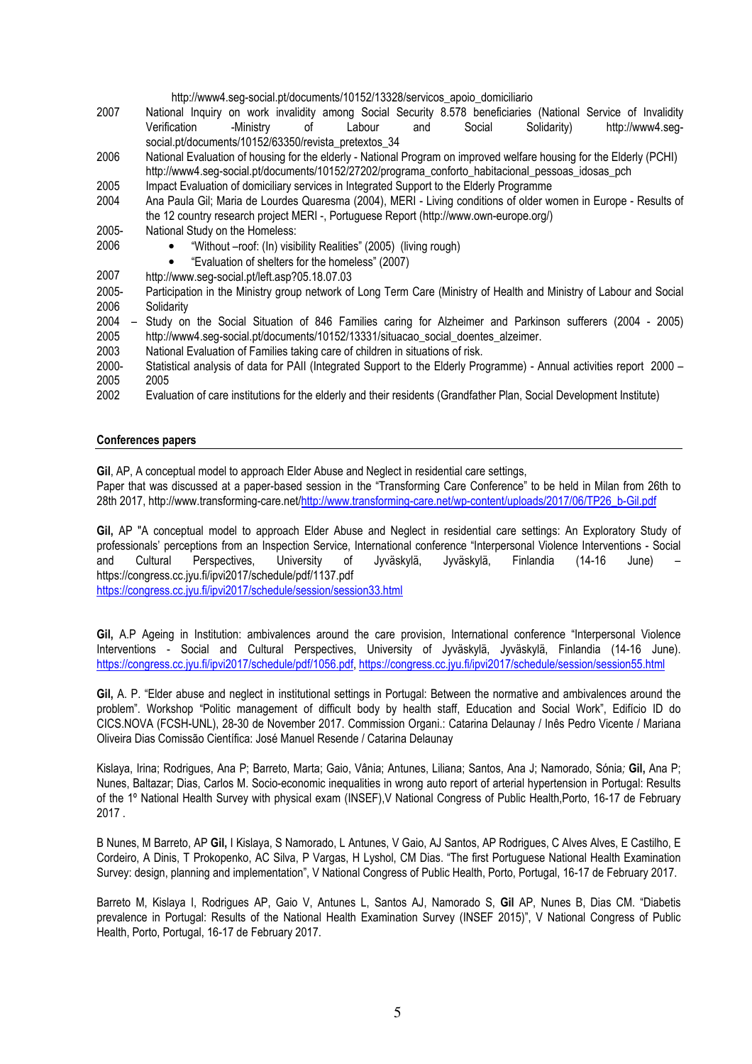# http://www4.seg-social.pt/documents/10152/13328/servicos\_apoio\_domiciliario

- 2007 National Inquiry on work invalidity among Social Security 8.578 beneficiaries (National Service of Invalidity Verification -Ministry of Labour and Social Solidarity) http://www4.segsocial.pt/documents/10152/63350/revista\_pretextos\_34
- 2006 National Evaluation of housing for the elderly National Program on improved welfare housing for the Elderly (PCHI) http://www4.seg-social.pt/documents/10152/27202/programa\_conforto\_habitacional\_pessoas\_idosas\_pch
- 2005 Impact Evaluation of domiciliary services in Integrated Support to the Elderly Programme
- 2004 Ana Paula Gil; Maria de Lourdes Quaresma (2004), MERI Living conditions of older women in Europe Results of the 12 country research project MERI -, Portuguese Report (http://www.own-europe.org/)
- 2005- 2006 National Study on the Homeless:
	- "Without –roof: (In) visibility Realities" (2005) (living rough)
	- "Evaluation of shelters for the homeless" (2007)
- 2007 http://www.seg-social.pt/left.asp?05.18.07.03
- 2005- 2006 Participation in the Ministry group network of Long Term Care (Ministry of Health and Ministry of Labour and Social Solidarity
- 2004 2005 Study on the Social Situation of 846 Families caring for Alzheimer and Parkinson sufferers (2004 - 2005) http://www4.seg-social.pt/documents/10152/13331/situacao\_social\_doentes\_alzeimer.
- 2003 National Evaluation of Families taking care of children in situations of risk.
- 2000- 2005<br>2002 Statistical analysis of data for PAII (Integrated Support to the Elderly Programme) - Annual activities report 2000 – 2005
- 2002 Evaluation of care institutions for the elderly and their residents (Grandfather Plan, Social Development Institute)

#### Conferences papers

Gil, AP, A conceptual model to approach Elder Abuse and Neglect in residential care settings,

Paper that was discussed at a paper-based session in the "Transforming Care Conference" to be held in Milan from 26th to 28th 2017, http://www.transforming-care.net/http://www.transforming-care.net/wp-content/uploads/2017/06/TP26\_b-Gil.pdf

Gil, AP "A conceptual model to approach Elder Abuse and Neglect in residential care settings: An Exploratory Study of professionals' perceptions from an Inspection Service, International conference "Interpersonal Violence Interventions - Social and Cultural Perspectives, University of Jyväskylä, Jyväskylä, Finlandia (14-16 June) – https://congress.cc.jyu.fi/ipvi2017/schedule/pdf/1137.pdf

https://congress.cc.jyu.fi/ipvi2017/schedule/session/session33.html

Gil, A.P Ageing in Institution: ambivalences around the care provision, International conference "Interpersonal Violence Interventions - Social and Cultural Perspectives, University of Jyväskylä, Jyväskylä, Finlandia (14-16 June). https://congress.cc.jyu.fi/ipvi2017/schedule/pdf/1056.pdf, https://congress.cc.jyu.fi/ipvi2017/schedule/session/session55.html

Gil, A. P. "Elder abuse and neglect in institutional settings in Portugal: Between the normative and ambivalences around the problem". Workshop "Politic management of difficult body by health staff, Education and Social Work", Edifício ID do CICS.NOVA (FCSH-UNL), 28-30 de November 2017. Commission Organi.: Catarina Delaunay / Inês Pedro Vicente / Mariana Oliveira Dias Comissão Científica: José Manuel Resende / Catarina Delaunay

Kislaya, Irina; Rodrigues, Ana P; Barreto, Marta; Gaio, Vânia; Antunes, Liliana; Santos, Ana J; Namorado, Sónia; Gil, Ana P; Nunes, Baltazar; Dias, Carlos M. Socio-economic inequalities in wrong auto report of arterial hypertension in Portugal: Results of the 1º National Health Survey with physical exam (INSEF),V National Congress of Public Health,Porto, 16-17 de February 2017 .

B Nunes, M Barreto, AP Gil, I Kislaya, S Namorado, L Antunes, V Gaio, AJ Santos, AP Rodrigues, C Alves Alves, E Castilho, E Cordeiro, A Dinis, T Prokopenko, AC Silva, P Vargas, H Lyshol, CM Dias. "The first Portuguese National Health Examination Survey: design, planning and implementation", V National Congress of Public Health, Porto, Portugal, 16-17 de February 2017.

Barreto M, Kislaya I, Rodrigues AP, Gaio V, Antunes L, Santos AJ, Namorado S, Gil AP, Nunes B, Dias CM. "Diabetis prevalence in Portugal: Results of the National Health Examination Survey (INSEF 2015)", V National Congress of Public Health, Porto, Portugal, 16-17 de February 2017.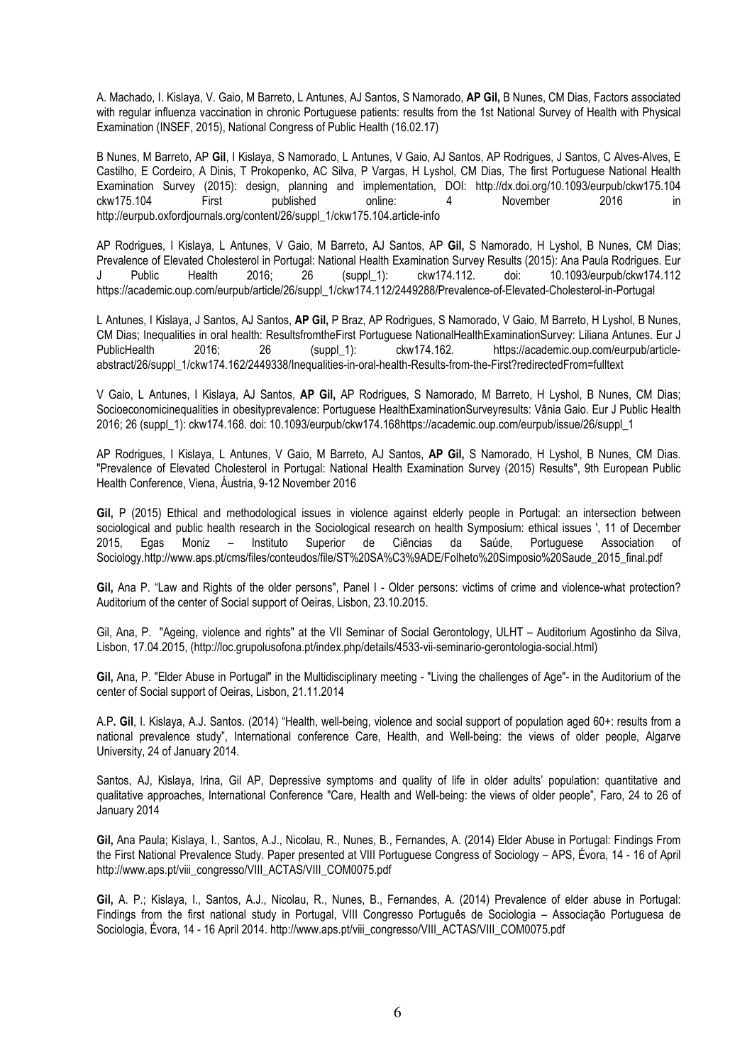A. Machado, I. Kislaya, V. Gaio, M Barreto, L Antunes, AJ Santos, S Namorado, AP Gil, B Nunes, CM Dias, Factors associated with regular influenza vaccination in chronic Portuguese patients: results from the 1st National Survey of Health with Physical Examination (INSEF, 2015), National Congress of Public Health (16.02.17)

B Nunes, M Barreto, AP Gil, I Kislaya, S Namorado, L Antunes, V Gaio, AJ Santos, AP Rodrigues, J Santos, C Alves-Alves, E Castilho, E Cordeiro, A Dinis, T Prokopenko, AC Silva, P Vargas, H Lyshol, CM Dias, The first Portuguese National Health Examination Survey (2015): design, planning and implementation, DOI: http://dx.doi.org/10.1093/eurpub/ckw175.104 ckw175.104 First published online: 4 November 2016 in http://eurpub.oxfordjournals.org/content/26/suppl\_1/ckw175.104.article-info

AP Rodrigues, I Kislaya, L Antunes, V Gaio, M Barreto, AJ Santos, AP Gil, S Namorado, H Lyshol, B Nunes, CM Dias; Prevalence of Elevated Cholesterol in Portugal: National Health Examination Survey Results (2015): Ana Paula Rodrigues. Eur J Public Health 2016; 26 (suppl\_1): ckw174.112. doi: 10.1093/eurpub/ckw174.112 https://academic.oup.com/eurpub/article/26/suppl\_1/ckw174.112/2449288/Prevalence-of-Elevated-Cholesterol-in-Portugal

L Antunes, I Kislaya, J Santos, AJ Santos, AP Gil, P Braz, AP Rodrigues, S Namorado, V Gaio, M Barreto, H Lyshol, B Nunes, CM Dias; Inequalities in oral health: ResultsfromtheFirst Portuguese NationalHealthExaminationSurvey: Liliana Antunes. Eur J PublicHealth 2016; 26 (suppl 1): ckw174.162. https://academic.oup.com/eurpub/articleabstract/26/suppl\_1/ckw174.162/2449338/Inequalities-in-oral-health-Results-from-the-First?redirectedFrom=fulltext

V Gaio, L Antunes, I Kislaya, AJ Santos, AP Gil, AP Rodrigues, S Namorado, M Barreto, H Lyshol, B Nunes, CM Dias; Socioeconomicinequalities in obesityprevalence: Portuguese HealthExaminationSurveyresults: Vânia Gaio. Eur J Public Health 2016; 26 (suppl\_1): ckw174.168. doi: 10.1093/eurpub/ckw174.168https://academic.oup.com/eurpub/issue/26/suppl\_1

AP Rodrigues, I Kislaya, L Antunes, V Gaio, M Barreto, AJ Santos, AP Gil, S Namorado, H Lyshol, B Nunes, CM Dias. "Prevalence of Elevated Cholesterol in Portugal: National Health Examination Survey (2015) Results", 9th European Public Health Conference, Viena, Áustria, 9-12 November 2016

Gil, P (2015) Ethical and methodological issues in violence against elderly people in Portugal: an intersection between sociological and public health research in the Sociological research on health Symposium: ethical issues ', 11 of December 2015, Egas Moniz – Instituto Superior de Ciências da Saúde, Portuguese Association of Sociology.http://www.aps.pt/cms/files/conteudos/file/ST%20SA%C3%9ADE/Folheto%20Simposio%20Saude\_2015\_final.pdf

Gil, Ana P. "Law and Rights of the older persons", Panel I - Older persons: victims of crime and violence-what protection? Auditorium of the center of Social support of Oeiras, Lisbon, 23.10.2015.

Gil, Ana, P. "Ageing, violence and rights" at the VII Seminar of Social Gerontology, ULHT – Auditorium Agostinho da Silva, Lisbon, 17.04.2015, (http://loc.grupolusofona.pt/index.php/details/4533-vii-seminario-gerontologia-social.html)

Gil, Ana, P. "Elder Abuse in Portugal" in the Multidisciplinary meeting - "Living the challenges of Age"- in the Auditorium of the center of Social support of Oeiras, Lisbon, 21.11.2014

A.P. Gil, I. Kislaya, A.J. Santos. (2014) "Health, well-being, violence and social support of population aged 60+: results from a national prevalence study", International conference Care, Health, and Well-being: the views of older people, Algarve University, 24 of January 2014.

Santos, AJ, Kislaya, Irina, Gil AP, Depressive symptoms and quality of life in older adults' population: quantitative and qualitative approaches, International Conference "Care, Health and Well-being: the views of older people", Faro, 24 to 26 of January 2014

Gil, Ana Paula; Kislaya, I., Santos, A.J., Nicolau, R., Nunes, B., Fernandes, A. (2014) Elder Abuse in Portugal: Findings From the First National Prevalence Study. Paper presented at VIII Portuguese Congress of Sociology – APS, Évora, 14 - 16 of April http://www.aps.pt/viii\_congresso/VIII\_ACTAS/VIII\_COM0075.pdf

Gil, A. P.; Kislaya, I., Santos, A.J., Nicolau, R., Nunes, B., Fernandes, A. (2014) Prevalence of elder abuse in Portugal: Findings from the first national study in Portugal, VIII Congresso Português de Sociologia – Associação Portuguesa de Sociologia, Évora, 14 - 16 April 2014. http://www.aps.pt/viii\_congresso/VIII\_ACTAS/VIII\_COM0075.pdf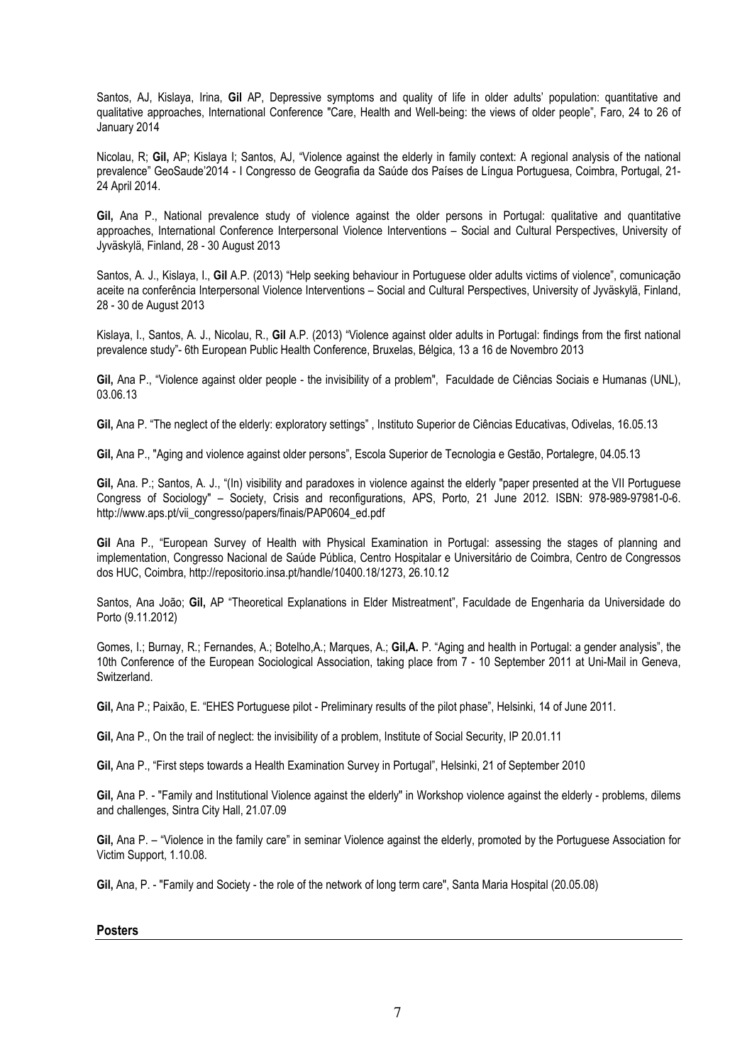Santos, AJ, Kislaya, Irina, Gil AP, Depressive symptoms and quality of life in older adults' population: quantitative and qualitative approaches, International Conference "Care, Health and Well-being: the views of older people", Faro, 24 to 26 of January 2014

Nicolau, R; Gil, AP; Kislaya I; Santos, AJ, "Violence against the elderly in family context: A regional analysis of the national prevalence" GeoSaude'2014 - I Congresso de Geografia da Saúde dos Países de Língua Portuguesa, Coimbra, Portugal, 21- 24 April 2014.

Gil, Ana P., National prevalence study of violence against the older persons in Portugal: qualitative and quantitative approaches, International Conference Interpersonal Violence Interventions – Social and Cultural Perspectives, University of Jyväskylä, Finland, 28 - 30 August 2013

Santos, A. J., Kislaya, I., Gil A.P. (2013) "Help seeking behaviour in Portuguese older adults victims of violence", comunicação aceite na conferência Interpersonal Violence Interventions – Social and Cultural Perspectives, University of Jyväskylä, Finland, 28 - 30 de August 2013

Kislaya, I., Santos, A. J., Nicolau, R., Gil A.P. (2013) "Violence against older adults in Portugal: findings from the first national prevalence study"- 6th European Public Health Conference, Bruxelas, Bélgica, 13 a 16 de Novembro 2013

Gil, Ana P., "Violence against older people - the invisibility of a problem", Faculdade de Ciências Sociais e Humanas (UNL), 03.06.13

Gil, Ana P. "The neglect of the elderly: exploratory settings" , Instituto Superior de Ciências Educativas, Odivelas, 16.05.13

Gil, Ana P., "Aging and violence against older persons", Escola Superior de Tecnologia e Gestão, Portalegre, 04.05.13

Gil, Ana. P.; Santos, A. J., "(In) visibility and paradoxes in violence against the elderly "paper presented at the VII Portuguese Congress of Sociology" – Society, Crisis and reconfigurations, APS, Porto, 21 June 2012. ISBN: 978-989-97981-0-6. http://www.aps.pt/vii\_congresso/papers/finais/PAP0604\_ed.pdf

Gil Ana P., "European Survey of Health with Physical Examination in Portugal: assessing the stages of planning and implementation, Congresso Nacional de Saúde Pública, Centro Hospitalar e Universitário de Coimbra, Centro de Congressos dos HUC, Coimbra, http://repositorio.insa.pt/handle/10400.18/1273, 26.10.12

Santos, Ana João; Gil, AP "Theoretical Explanations in Elder Mistreatment", Faculdade de Engenharia da Universidade do Porto (9.11.2012)

Gomes, I.; Burnay, R.; Fernandes, A.; Botelho,A.; Marques, A.; Gil,A. P. "Aging and health in Portugal: a gender analysis", the 10th Conference of the European Sociological Association, taking place from 7 - 10 September 2011 at Uni-Mail in Geneva, Switzerland.

Gil, Ana P.; Paixão, E. "EHES Portuguese pilot - Preliminary results of the pilot phase", Helsinki, 14 of June 2011.

Gil, Ana P., On the trail of neglect: the invisibility of a problem, Institute of Social Security, IP 20.01.11

Gil, Ana P., "First steps towards a Health Examination Survey in Portugal", Helsinki, 21 of September 2010

Gil, Ana P. - "Family and Institutional Violence against the elderly" in Workshop violence against the elderly - problems, dilems and challenges, Sintra City Hall, 21.07.09

Gil, Ana P. – "Violence in the family care" in seminar Violence against the elderly, promoted by the Portuguese Association for Victim Support, 1.10.08.

Gil, Ana, P. - "Family and Society - the role of the network of long term care", Santa Maria Hospital (20.05.08)

# Posters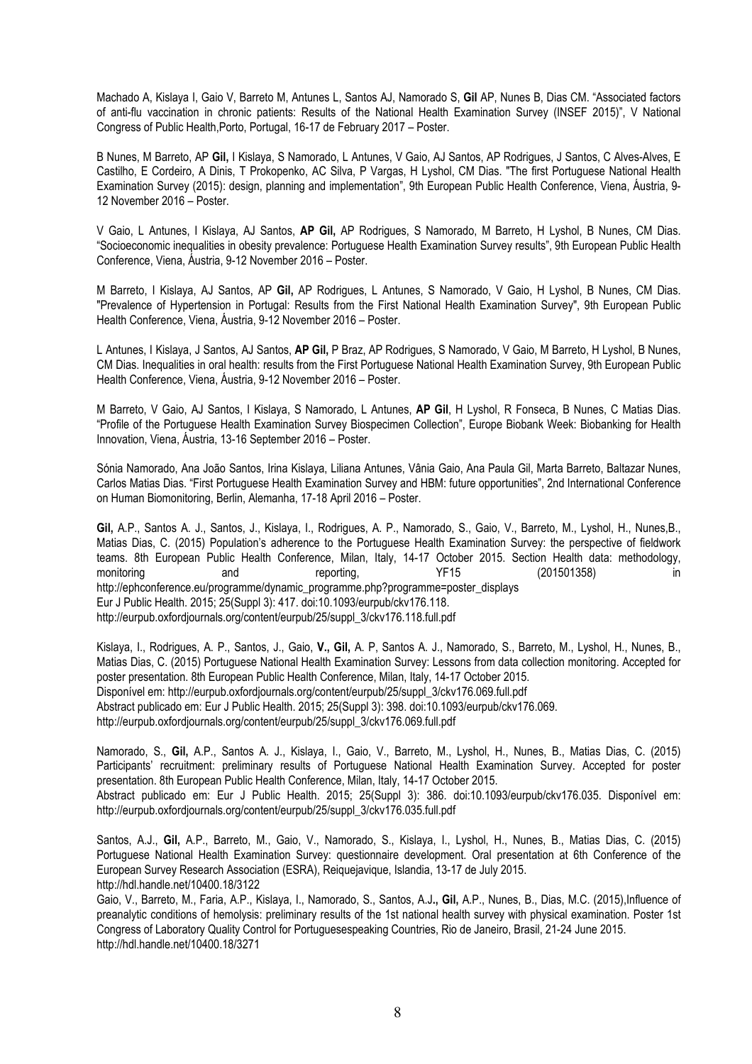Machado A, Kislaya I, Gaio V, Barreto M, Antunes L, Santos AJ, Namorado S, Gil AP, Nunes B, Dias CM. "Associated factors of anti-flu vaccination in chronic patients: Results of the National Health Examination Survey (INSEF 2015)", V National Congress of Public Health,Porto, Portugal, 16-17 de February 2017 – Poster.

B Nunes, M Barreto, AP Gil, I Kislaya, S Namorado, L Antunes, V Gaio, AJ Santos, AP Rodrigues, J Santos, C Alves-Alves, E Castilho, E Cordeiro, A Dinis, T Prokopenko, AC Silva, P Vargas, H Lyshol, CM Dias. "The first Portuguese National Health Examination Survey (2015): design, planning and implementation", 9th European Public Health Conference, Viena, Áustria, 9- 12 November 2016 – Poster.

V Gaio, L Antunes, I Kislaya, AJ Santos, AP Gil, AP Rodrigues, S Namorado, M Barreto, H Lyshol, B Nunes, CM Dias. "Socioeconomic inequalities in obesity prevalence: Portuguese Health Examination Survey results", 9th European Public Health Conference, Viena, Áustria, 9-12 November 2016 – Poster.

M Barreto, I Kislaya, AJ Santos, AP Gil, AP Rodrigues, L Antunes, S Namorado, V Gaio, H Lyshol, B Nunes, CM Dias. "Prevalence of Hypertension in Portugal: Results from the First National Health Examination Survey", 9th European Public Health Conference, Viena, Áustria, 9-12 November 2016 – Poster.

L Antunes, I Kislaya, J Santos, AJ Santos, AP Gil, P Braz, AP Rodrigues, S Namorado, V Gaio, M Barreto, H Lyshol, B Nunes, CM Dias. Inequalities in oral health: results from the First Portuguese National Health Examination Survey, 9th European Public Health Conference, Viena, Áustria, 9-12 November 2016 – Poster.

M Barreto, V Gaio, AJ Santos, I Kislaya, S Namorado, L Antunes, AP Gil, H Lyshol, R Fonseca, B Nunes, C Matias Dias. "Profile of the Portuguese Health Examination Survey Biospecimen Collection", Europe Biobank Week: Biobanking for Health Innovation, Viena, Áustria, 13-16 September 2016 – Poster.

Sónia Namorado, Ana João Santos, Irina Kislaya, Liliana Antunes, Vânia Gaio, Ana Paula Gil, Marta Barreto, Baltazar Nunes, Carlos Matias Dias. "First Portuguese Health Examination Survey and HBM: future opportunities", 2nd International Conference on Human Biomonitoring, Berlin, Alemanha, 17-18 April 2016 – Poster.

Gil, A.P., Santos A. J., Santos, J., Kislaya, I., Rodrigues, A. P., Namorado, S., Gaio, V., Barreto, M., Lyshol, H., Nunes,B., Matias Dias, C. (2015) Population's adherence to the Portuguese Health Examination Survey: the perspective of fieldwork teams. 8th European Public Health Conference, Milan, Italy, 14-17 October 2015. Section Health data: methodology, monitoring and reporting, YF15 (201501358) in http://ephconference.eu/programme/dynamic\_programme.php?programme=poster\_displays Eur J Public Health. 2015; 25(Suppl 3): 417. doi:10.1093/eurpub/ckv176.118. http://eurpub.oxfordjournals.org/content/eurpub/25/suppl\_3/ckv176.118.full.pdf

Kislaya, I., Rodrigues, A. P., Santos, J., Gaio, V., Gil, A. P, Santos A. J., Namorado, S., Barreto, M., Lyshol, H., Nunes, B., Matias Dias, C. (2015) Portuguese National Health Examination Survey: Lessons from data collection monitoring. Accepted for poster presentation. 8th European Public Health Conference, Milan, Italy, 14-17 October 2015. Disponível em: http://eurpub.oxfordjournals.org/content/eurpub/25/suppl\_3/ckv176.069.full.pdf Abstract publicado em: Eur J Public Health. 2015; 25(Suppl 3): 398. doi:10.1093/eurpub/ckv176.069. http://eurpub.oxfordjournals.org/content/eurpub/25/suppl\_3/ckv176.069.full.pdf

Namorado, S., Gil, A.P., Santos A. J., Kislaya, I., Gaio, V., Barreto, M., Lyshol, H., Nunes, B., Matias Dias, C. (2015) Participants' recruitment: preliminary results of Portuguese National Health Examination Survey. Accepted for poster presentation. 8th European Public Health Conference, Milan, Italy, 14-17 October 2015. Abstract publicado em: Eur J Public Health. 2015; 25(Suppl 3): 386. doi:10.1093/eurpub/ckv176.035. Disponível em:

http://eurpub.oxfordjournals.org/content/eurpub/25/suppl\_3/ckv176.035.full.pdf

Santos, A.J., Gil, A.P., Barreto, M., Gaio, V., Namorado, S., Kislaya, I., Lyshol, H., Nunes, B., Matias Dias, C. (2015) Portuguese National Health Examination Survey: questionnaire development. Oral presentation at 6th Conference of the European Survey Research Association (ESRA), Reiquejavique, Islandia, 13-17 de July 2015. http://hdl.handle.net/10400.18/3122

Gaio, V., Barreto, M., Faria, A.P., Kislaya, I., Namorado, S., Santos, A.J., Gil, A.P., Nunes, B., Dias, M.C. (2015),Influence of preanalytic conditions of hemolysis: preliminary results of the 1st national health survey with physical examination. Poster 1st Congress of Laboratory Quality Control for Portuguesespeaking Countries, Rio de Janeiro, Brasil, 21-24 June 2015. http://hdl.handle.net/10400.18/3271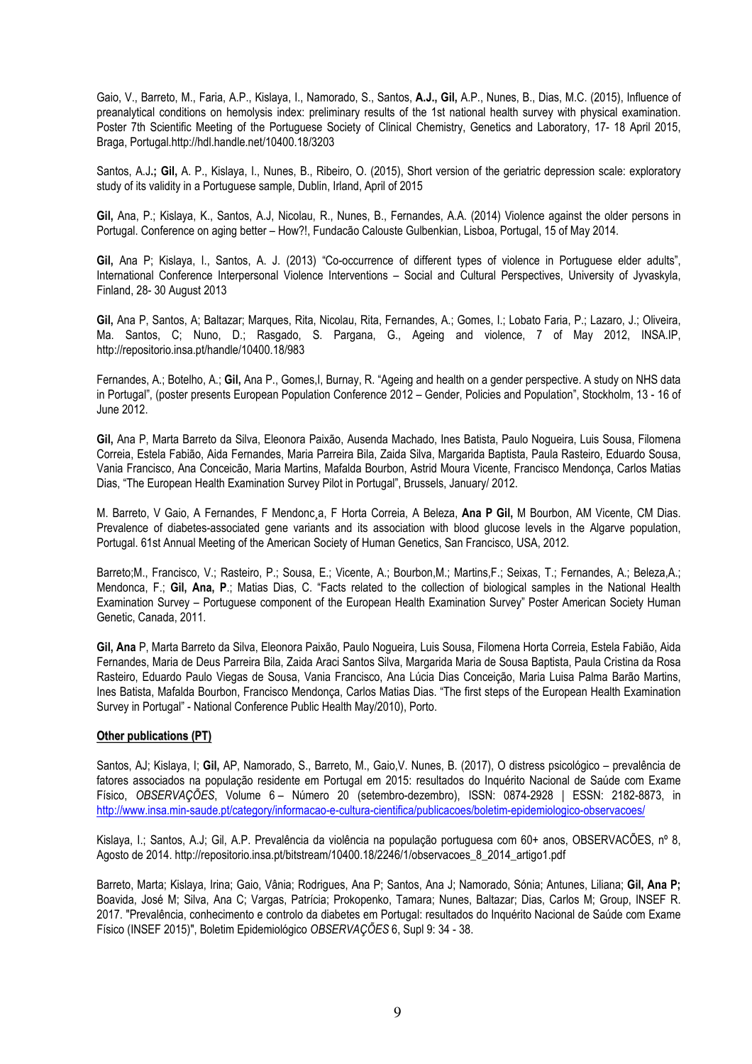Gaio, V., Barreto, M., Faria, A.P., Kislaya, I., Namorado, S., Santos, A.J., Gil, A.P., Nunes, B., Dias, M.C. (2015), Influence of preanalytical conditions on hemolysis index: preliminary results of the 1st national health survey with physical examination. Poster 7th Scientific Meeting of the Portuguese Society of Clinical Chemistry, Genetics and Laboratory, 17- 18 April 2015, Braga, Portugal.http://hdl.handle.net/10400.18/3203

Santos, A.J.; Gil, A. P., Kislaya, I., Nunes, B., Ribeiro, O. (2015), Short version of the geriatric depression scale: exploratory study of its validity in a Portuguese sample, Dublin, Irland, April of 2015

Gil, Ana, P.; Kislaya, K., Santos, A.J, Nicolau, R., Nunes, B., Fernandes, A.A. (2014) Violence against the older persons in Portugal. Conference on aging better – How?!, Fundacão Calouste Gulbenkian, Lisboa, Portugal, 15 of May 2014.

Gil, Ana P; Kislaya, I., Santos, A. J. (2013) "Co-occurrence of different types of violence in Portuguese elder adults", International Conference Interpersonal Violence Interventions – Social and Cultural Perspectives, University of Jyvaskyla, Finland, 28- 30 August 2013

Gil, Ana P, Santos, A; Baltazar; Marques, Rita, Nicolau, Rita, Fernandes, A.; Gomes, I.; Lobato Faria, P.; Lazaro, J.; Oliveira, Ma. Santos, C; Nuno, D.; Rasgado, S. Pargana, G., Ageing and violence, 7 of May 2012, INSA.IP, http://repositorio.insa.pt/handle/10400.18/983

Fernandes, A.; Botelho, A.; Gil, Ana P., Gomes, I, Burnay, R. "Ageing and health on a gender perspective. A study on NHS data in Portugal", (poster presents European Population Conference 2012 – Gender, Policies and Population", Stockholm, 13 - 16 of June 2012.

Gil, Ana P, Marta Barreto da Silva, Eleonora Paixão, Ausenda Machado, Ines Batista, Paulo Nogueira, Luis Sousa, Filomena Correia, Estela Fabião, Aida Fernandes, Maria Parreira Bila, Zaida Silva, Margarida Baptista, Paula Rasteiro, Eduardo Sousa, Vania Francisco, Ana Conceicão, Maria Martins, Mafalda Bourbon, Astrid Moura Vicente, Francisco Mendonça, Carlos Matias Dias, "The European Health Examination Survey Pilot in Portugal", Brussels, January/ 2012.

M. Barreto, V Gaio, A Fernandes, F Mendonc, a, F Horta Correia, A Beleza, Ana P Gil, M Bourbon, AM Vicente, CM Dias. Prevalence of diabetes-associated gene variants and its association with blood glucose levels in the Algarve population, Portugal. 61st Annual Meeting of the American Society of Human Genetics, San Francisco, USA, 2012.

Barreto;M., Francisco, V.; Rasteiro, P.; Sousa, E.; Vicente, A.; Bourbon,M.; Martins,F.; Seixas, T.; Fernandes, A.; Beleza,A.; Mendonca, F.; Gil, Ana, P.; Matias Dias, C. "Facts related to the collection of biological samples in the National Health Examination Survey – Portuguese component of the European Health Examination Survey" Poster American Society Human Genetic, Canada, 2011.

Gil, Ana P, Marta Barreto da Silva, Eleonora Paixão, Paulo Nogueira, Luis Sousa, Filomena Horta Correia, Estela Fabião, Aida Fernandes, Maria de Deus Parreira Bila, Zaida Araci Santos Silva, Margarida Maria de Sousa Baptista, Paula Cristina da Rosa Rasteiro, Eduardo Paulo Viegas de Sousa, Vania Francisco, Ana Lúcia Dias Conceição, Maria Luisa Palma Barão Martins, Ines Batista, Mafalda Bourbon, Francisco Mendonça, Carlos Matias Dias. "The first steps of the European Health Examination Survey in Portugal" - National Conference Public Health May/2010), Porto.

# Other publications (PT)

Santos, AJ; Kislaya, I; Gil, AP, Namorado, S., Barreto, M., Gaio,V. Nunes, B. (2017), O distress psicológico – prevalência de fatores associados na população residente em Portugal em 2015: resultados do Inquérito Nacional de Saúde com Exame Físico, OBSERVAÇÕES, Volume 6 – Número 20 (setembro-dezembro), ISSN: 0874-2928 | ESSN: 2182-8873, in http://www.insa.min-saude.pt/category/informacao-e-cultura-cientifica/publicacoes/boletim-epidemiologico-observacoes/

Kislaya, I.; Santos, A.J; Gil, A.P. Prevalência da violência na população portuguesa com 60+ anos, OBSERVACÕES, nº 8, Agosto de 2014. http://repositorio.insa.pt/bitstream/10400.18/2246/1/observacoes\_8\_2014\_artigo1.pdf

Barreto, Marta; Kislaya, Irina; Gaio, Vânia; Rodrigues, Ana P; Santos, Ana J; Namorado, Sónia; Antunes, Liliana; Gil, Ana P; Boavida, José M; Silva, Ana C; Vargas, Patrícia; Prokopenko, Tamara; Nunes, Baltazar; Dias, Carlos M; Group, INSEF R. 2017. "Prevalência, conhecimento e controlo da diabetes em Portugal: resultados do Inquérito Nacional de Saúde com Exame Físico (INSEF 2015)", Boletim Epidemiológico OBSERVAÇÕES 6, Supl 9: 34 - 38.